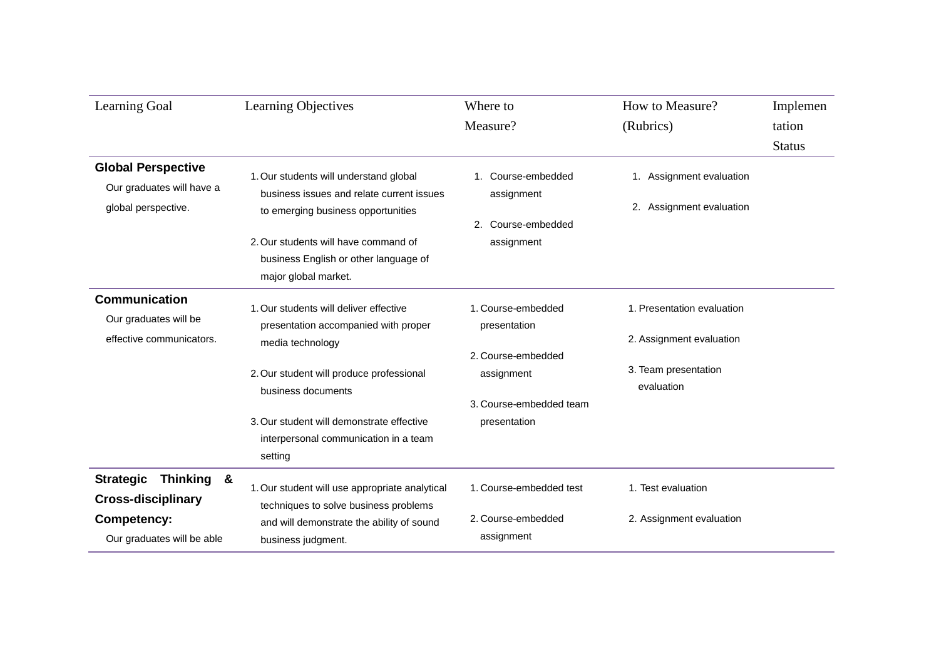| Learning Goal                                                                                                   | Learning Objectives                                                                                                                                                                                                                                        | Where to<br>Measure?                                                                                              | How to Measure?<br>(Rubrics)                                                                 | Implemen<br>tation<br><b>Status</b> |
|-----------------------------------------------------------------------------------------------------------------|------------------------------------------------------------------------------------------------------------------------------------------------------------------------------------------------------------------------------------------------------------|-------------------------------------------------------------------------------------------------------------------|----------------------------------------------------------------------------------------------|-------------------------------------|
| <b>Global Perspective</b><br>Our graduates will have a<br>global perspective.                                   | 1. Our students will understand global<br>business issues and relate current issues<br>to emerging business opportunities<br>2. Our students will have command of<br>business English or other language of<br>major global market.                         | 1. Course-embedded<br>assignment<br>Course-embedded<br>2.<br>assignment                                           | 1. Assignment evaluation<br>2. Assignment evaluation                                         |                                     |
| <b>Communication</b><br>Our graduates will be<br>effective communicators.                                       | 1. Our students will deliver effective<br>presentation accompanied with proper<br>media technology<br>2. Our student will produce professional<br>business documents<br>3. Our student will demonstrate effective<br>interpersonal communication in a team | 1. Course-embedded<br>presentation<br>2. Course-embedded<br>assignment<br>3. Course-embedded team<br>presentation | 1. Presentation evaluation<br>2. Assignment evaluation<br>3. Team presentation<br>evaluation |                                     |
| Thinking &<br><b>Strategic</b><br><b>Cross-disciplinary</b><br><b>Competency:</b><br>Our graduates will be able | setting<br>1. Our student will use appropriate analytical<br>techniques to solve business problems<br>and will demonstrate the ability of sound<br>business judgment.                                                                                      | 1. Course-embedded test<br>2. Course-embedded<br>assignment                                                       | 1. Test evaluation<br>2. Assignment evaluation                                               |                                     |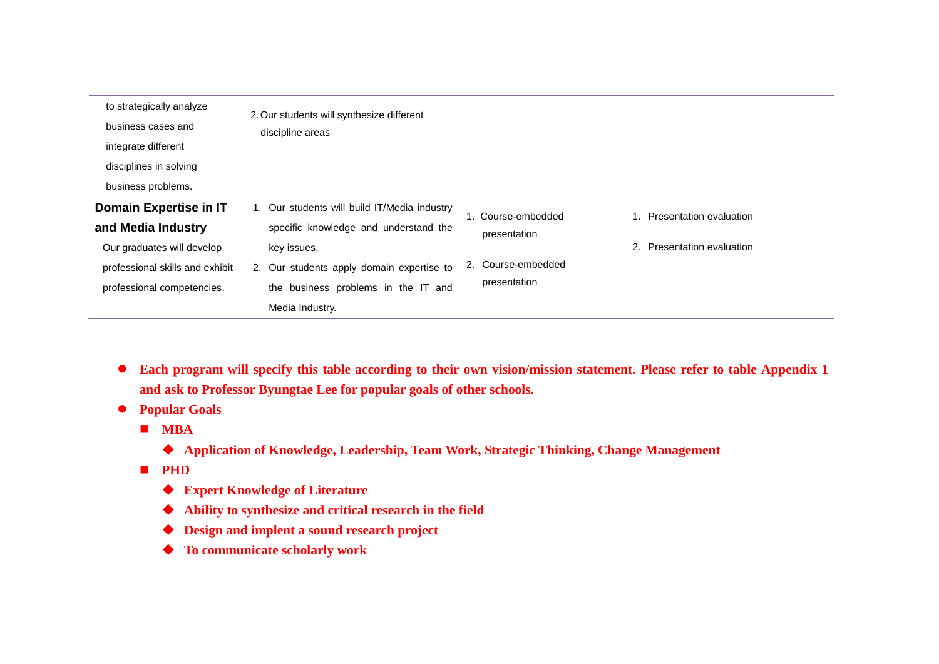| to strategically analyze<br>business cases and<br>integrate different<br>disciplines in solving<br>business problems.                       | 2. Our students will synthesize different<br>discipline areas                                                                                                                                               |                                                                          |                                                          |
|---------------------------------------------------------------------------------------------------------------------------------------------|-------------------------------------------------------------------------------------------------------------------------------------------------------------------------------------------------------------|--------------------------------------------------------------------------|----------------------------------------------------------|
| Domain Expertise in IT<br>and Media Industry<br>Our graduates will develop<br>professional skills and exhibit<br>professional competencies. | 1. Our students will build IT/Media industry<br>specific knowledge and understand the<br>key issues.<br>2. Our students apply domain expertise to<br>the business problems in the IT and<br>Media Industry. | 1. Course-embedded<br>presentation<br>2. Course-embedded<br>presentation | 1. Presentation evaluation<br>2. Presentation evaluation |

- **Each program will specify this table according to their own vision/mission statement. Please refer to table Appendix 1 and ask to Professor Byungtae Lee for popular goals of other schools.**
- **Popular Goals**
	- **MBA**
		- **Application of Knowledge, Leadership, Team Work, Strategic Thinking, Change Management**
	- **PHD** 
		- **Expert Knowledge of Literature**
		- **Ability to synthesize and critical research in the field**
		- **Design and implent a sound research project**
		- **To communicate scholarly work**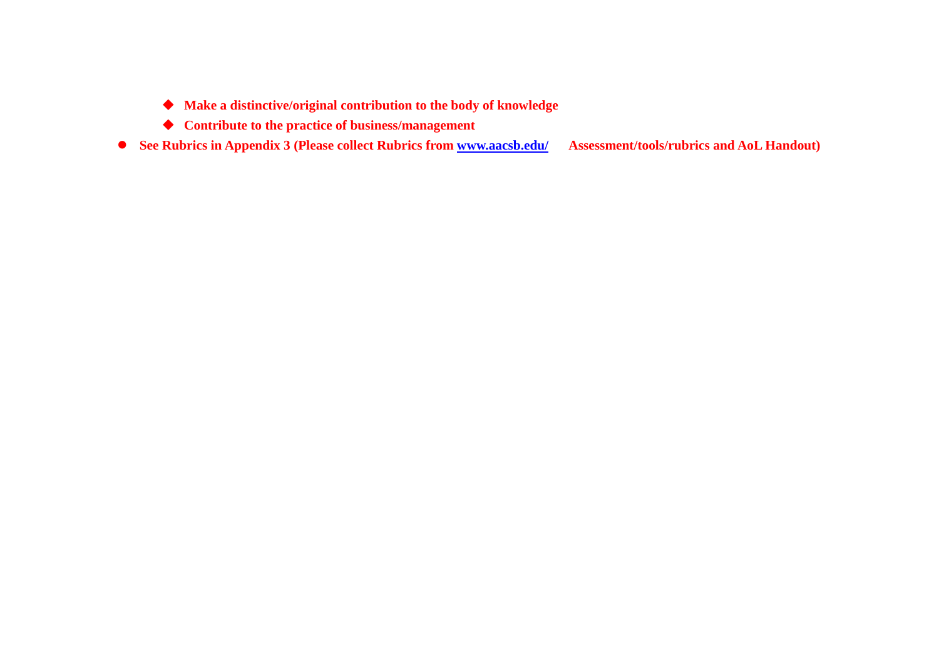- **Make a distinctive/original contribution to the body of knowledge**
- **Contribute to the practice of business/management**
- **See Rubrics in Appendix 3 (Please collect Rubrics from [www.aacsb.edu/](http://www.aacsb.edu/) Assessment/tools/rubrics and AoL Handout)**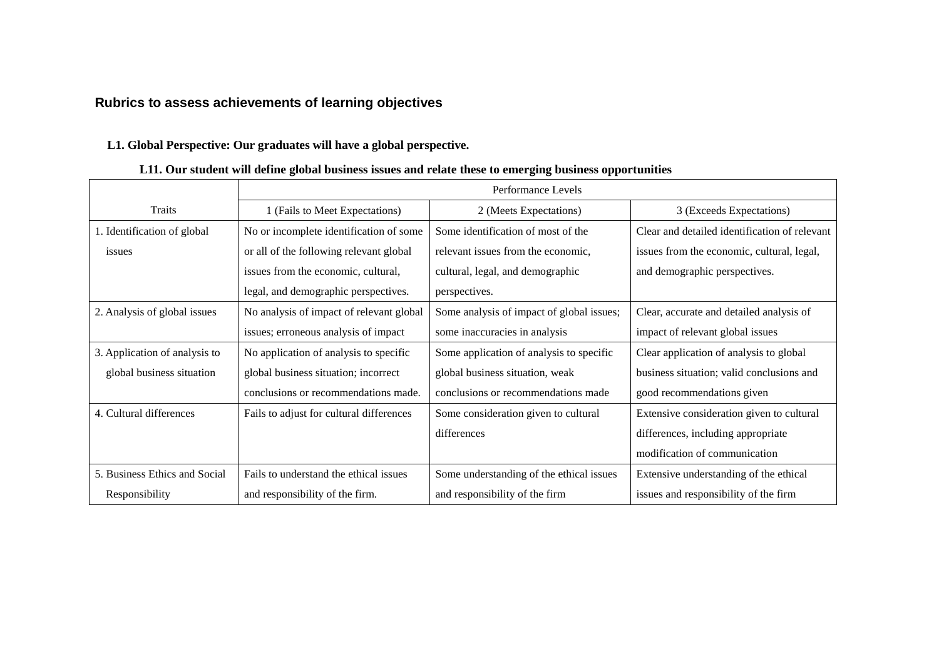#### **Rubrics to assess achievements of learning objectives**

#### **L1. Global Perspective: Our graduates will have a global perspective.**

#### **Traits** Performance Levels 1 (Fails to Meet Expectations) 2 (Meets Expectations) 3 (Exceeds Expectations) 1. Identification of global issues No or incomplete identification of some or all of the following relevant global issues from the economic, cultural, legal, and demographic perspectives. Some identification of most of the relevant issues from the economic, cultural, legal, and demographic perspectives. Clear and detailed identification of relevant issues from the economic, cultural, legal, and demographic perspectives. 2. Analysis of global issues No analysis of impact of relevant global issues; erroneous analysis of impact Some analysis of impact of global issues; some inaccuracies in analysis Clear, accurate and detailed analysis of impact of relevant global issues 3. Application of analysis to global business situation No application of analysis to specific global business situation; incorrect conclusions or recommendations made. Some application of analysis to specific global business situation, weak conclusions or recommendations made Clear application of analysis to global business situation; valid conclusions and good recommendations given 4. Cultural differences Fails to adjust for cultural differences Some consideration given to cultural differences Extensive consideration given to cultural differences, including appropriate modification of communication 5. Business Ethics and Social Responsibility Fails to understand the ethical issues and responsibility of the firm. Some understanding of the ethical issues and responsibility of the firm Extensive understanding of the ethical issues and responsibility of the firm

#### **L11. Our student will define global business issues and relate these to emerging business opportunities**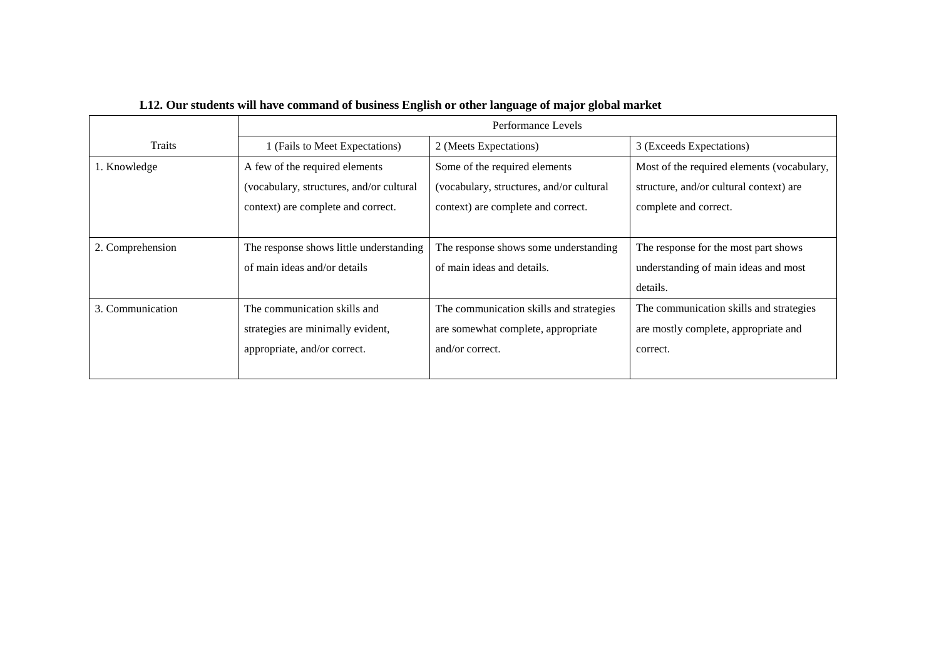|                  | Performance Levels                                                                                |                                                                                                  |                                                                                             |  |
|------------------|---------------------------------------------------------------------------------------------------|--------------------------------------------------------------------------------------------------|---------------------------------------------------------------------------------------------|--|
| <b>Traits</b>    | 1 (Fails to Meet Expectations)                                                                    | 2 (Meets Expectations)                                                                           | 3 (Exceeds Expectations)                                                                    |  |
| 1. Knowledge     | A few of the required elements<br>(vocabulary, structures, and/or cultural)                       | Some of the required elements<br>(vocabulary, structures, and/or cultural)                       | Most of the required elements (vocabulary,<br>structure, and/or cultural context) are       |  |
|                  | context) are complete and correct.                                                                | context) are complete and correct.                                                               | complete and correct.                                                                       |  |
| 2. Comprehension | The response shows little understanding<br>of main ideas and/or details                           | The response shows some understanding<br>of main ideas and details.                              | The response for the most part shows<br>understanding of main ideas and most<br>details.    |  |
| 3. Communication | The communication skills and<br>strategies are minimally evident,<br>appropriate, and/or correct. | The communication skills and strategies<br>are somewhat complete, appropriate<br>and/or correct. | The communication skills and strategies<br>are mostly complete, appropriate and<br>correct. |  |

# **L12. Our students will have command of business English or other language of major global market**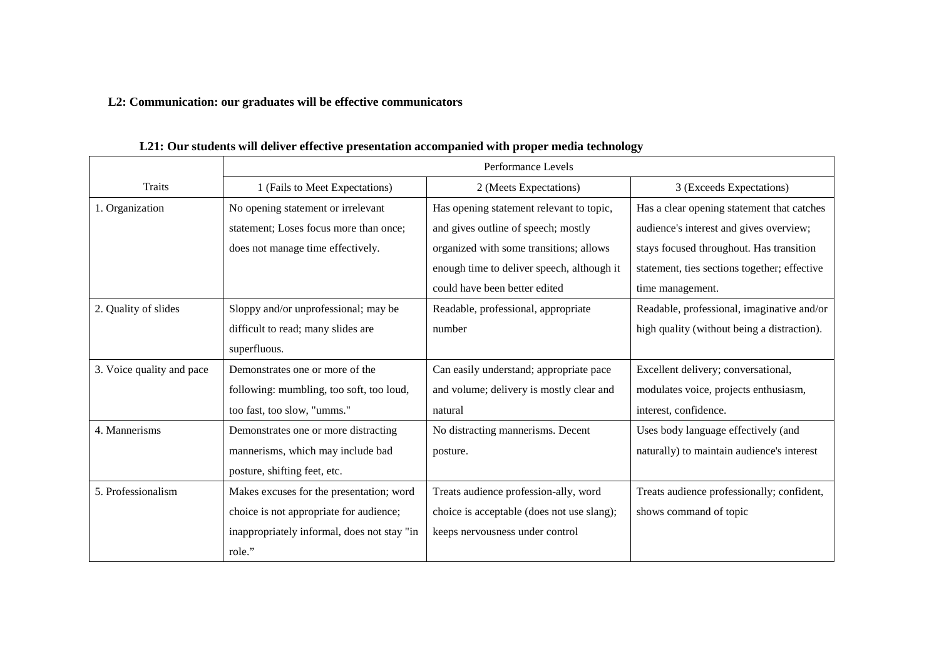# **L2: Communication: our graduates will be effective communicators**

|                           | Performance Levels                          |                                            |                                              |  |
|---------------------------|---------------------------------------------|--------------------------------------------|----------------------------------------------|--|
| <b>Traits</b>             | 1 (Fails to Meet Expectations)              | 2 (Meets Expectations)                     | 3 (Exceeds Expectations)                     |  |
| 1. Organization           | No opening statement or irrelevant          | Has opening statement relevant to topic,   | Has a clear opening statement that catches   |  |
|                           | statement; Loses focus more than once;      | and gives outline of speech; mostly        | audience's interest and gives overview;      |  |
|                           | does not manage time effectively.           | organized with some transitions; allows    | stays focused throughout. Has transition     |  |
|                           |                                             | enough time to deliver speech, although it | statement, ties sections together; effective |  |
|                           |                                             | could have been better edited              | time management.                             |  |
| 2. Quality of slides      | Sloppy and/or unprofessional; may be        | Readable, professional, appropriate        | Readable, professional, imaginative and/or   |  |
|                           | difficult to read; many slides are          | number                                     | high quality (without being a distraction).  |  |
|                           | superfluous.                                |                                            |                                              |  |
| 3. Voice quality and pace | Demonstrates one or more of the             | Can easily understand; appropriate pace    | Excellent delivery; conversational,          |  |
|                           | following: mumbling, too soft, too loud,    | and volume; delivery is mostly clear and   | modulates voice, projects enthusiasm,        |  |
|                           | too fast, too slow, "umms."                 | natural                                    | interest, confidence.                        |  |
| 4. Mannerisms             | Demonstrates one or more distracting        | No distracting mannerisms. Decent          | Uses body language effectively (and          |  |
|                           | mannerisms, which may include bad           | posture.                                   | naturally) to maintain audience's interest   |  |
|                           | posture, shifting feet, etc.                |                                            |                                              |  |
| 5. Professionalism        | Makes excuses for the presentation; word    | Treats audience profession-ally, word      | Treats audience professionally; confident,   |  |
|                           | choice is not appropriate for audience;     | choice is acceptable (does not use slang); | shows command of topic                       |  |
|                           | inappropriately informal, does not stay "in | keeps nervousness under control            |                                              |  |
|                           | role."                                      |                                            |                                              |  |

### **L21: Our students will deliver effective presentation accompanied with proper media technology**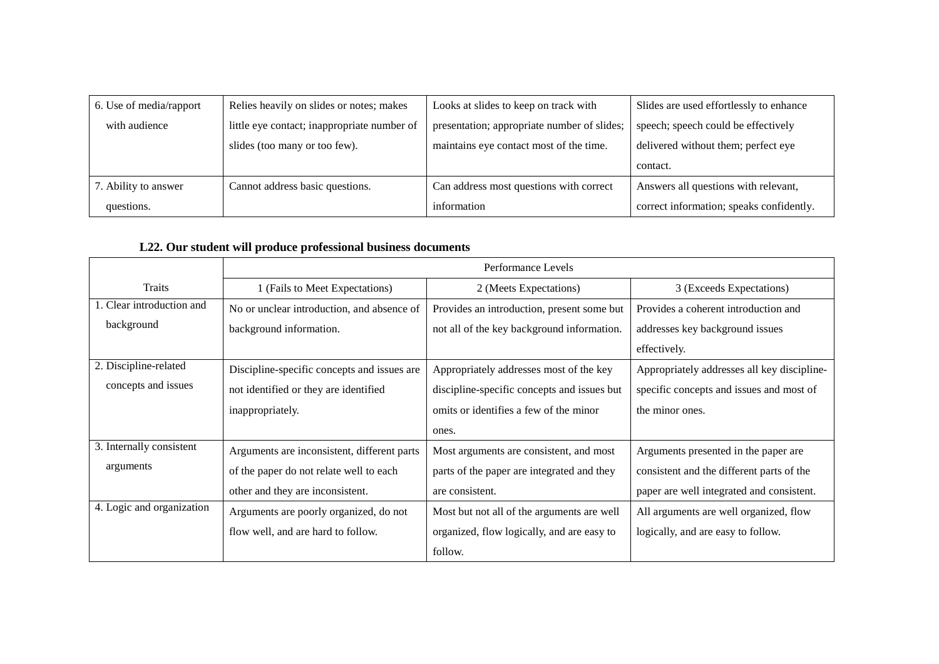| 6. Use of media/rapport | Relies heavily on slides or notes; makes    | Looks at slides to keep on track with       | Slides are used effortlessly to enhance  |
|-------------------------|---------------------------------------------|---------------------------------------------|------------------------------------------|
| with audience           | little eye contact; inappropriate number of | presentation; appropriate number of slides; | speech; speech could be effectively      |
|                         | slides (too many or too few).               | maintains eye contact most of the time.     | delivered without them; perfect eye      |
|                         |                                             |                                             | contact.                                 |
| 7. Ability to answer    | Cannot address basic questions.             | Can address most questions with correct     | Answers all questions with relevant,     |
| questions.              |                                             | information                                 | correct information; speaks confidently. |

# **L22. Our student will produce professional business documents**

|                           | Performance Levels                          |                                             |                                             |  |
|---------------------------|---------------------------------------------|---------------------------------------------|---------------------------------------------|--|
| Traits                    | 1 (Fails to Meet Expectations)              | 2 (Meets Expectations)                      | 3 (Exceeds Expectations)                    |  |
| 1. Clear introduction and | No or unclear introduction, and absence of  | Provides an introduction, present some but  | Provides a coherent introduction and        |  |
| background                | background information.                     | not all of the key background information.  | addresses key background issues             |  |
|                           |                                             |                                             | effectively.                                |  |
| 2. Discipline-related     | Discipline-specific concepts and issues are | Appropriately addresses most of the key     | Appropriately addresses all key discipline- |  |
| concepts and issues       | not identified or they are identified       | discipline-specific concepts and issues but | specific concepts and issues and most of    |  |
|                           | inappropriately.                            | omits or identifies a few of the minor      | the minor ones.                             |  |
|                           |                                             | ones.                                       |                                             |  |
| 3. Internally consistent  | Arguments are inconsistent, different parts | Most arguments are consistent, and most     | Arguments presented in the paper are        |  |
| arguments                 | of the paper do not relate well to each     | parts of the paper are integrated and they  | consistent and the different parts of the   |  |
|                           | other and they are inconsistent.            | are consistent.                             | paper are well integrated and consistent.   |  |
| 4. Logic and organization | Arguments are poorly organized, do not      | Most but not all of the arguments are well  | All arguments are well organized, flow      |  |
|                           | flow well, and are hard to follow.          | organized, flow logically, and are easy to  | logically, and are easy to follow.          |  |
|                           |                                             | follow.                                     |                                             |  |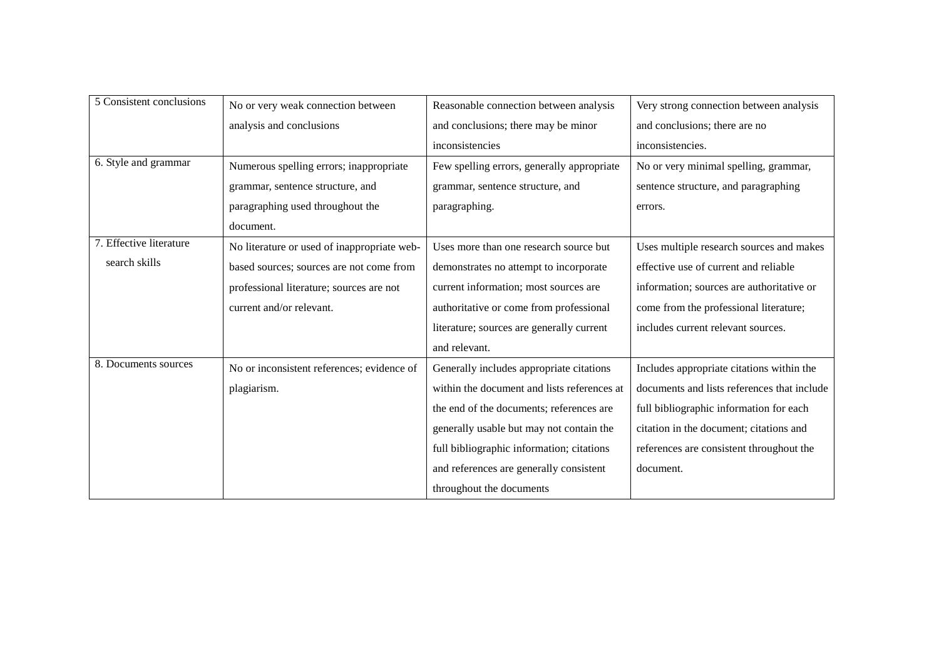| 5 Consistent conclusions | No or very weak connection between          | Reasonable connection between analysis      | Very strong connection between analysis     |
|--------------------------|---------------------------------------------|---------------------------------------------|---------------------------------------------|
|                          | analysis and conclusions                    | and conclusions; there may be minor         | and conclusions; there are no               |
|                          |                                             | inconsistencies                             | inconsistencies.                            |
| 6. Style and grammar     | Numerous spelling errors; inappropriate     | Few spelling errors, generally appropriate  | No or very minimal spelling, grammar,       |
|                          | grammar, sentence structure, and            | grammar, sentence structure, and            | sentence structure, and paragraphing        |
|                          | paragraphing used throughout the            | paragraphing.                               | errors.                                     |
|                          | document.                                   |                                             |                                             |
| 7. Effective literature  | No literature or used of inappropriate web- | Uses more than one research source but      | Uses multiple research sources and makes    |
| search skills            | based sources; sources are not come from    | demonstrates no attempt to incorporate      | effective use of current and reliable       |
|                          | professional literature; sources are not    | current information; most sources are       | information; sources are authoritative or   |
|                          | current and/or relevant.                    | authoritative or come from professional     | come from the professional literature;      |
|                          |                                             | literature; sources are generally current   | includes current relevant sources.          |
|                          |                                             | and relevant.                               |                                             |
| 8. Documents sources     | No or inconsistent references; evidence of  | Generally includes appropriate citations    | Includes appropriate citations within the   |
|                          | plagiarism.                                 | within the document and lists references at | documents and lists references that include |
|                          |                                             | the end of the documents; references are    | full bibliographic information for each     |
|                          |                                             | generally usable but may not contain the    | citation in the document; citations and     |
|                          |                                             | full bibliographic information; citations   | references are consistent throughout the    |
|                          |                                             | and references are generally consistent     | document.                                   |
|                          |                                             | throughout the documents                    |                                             |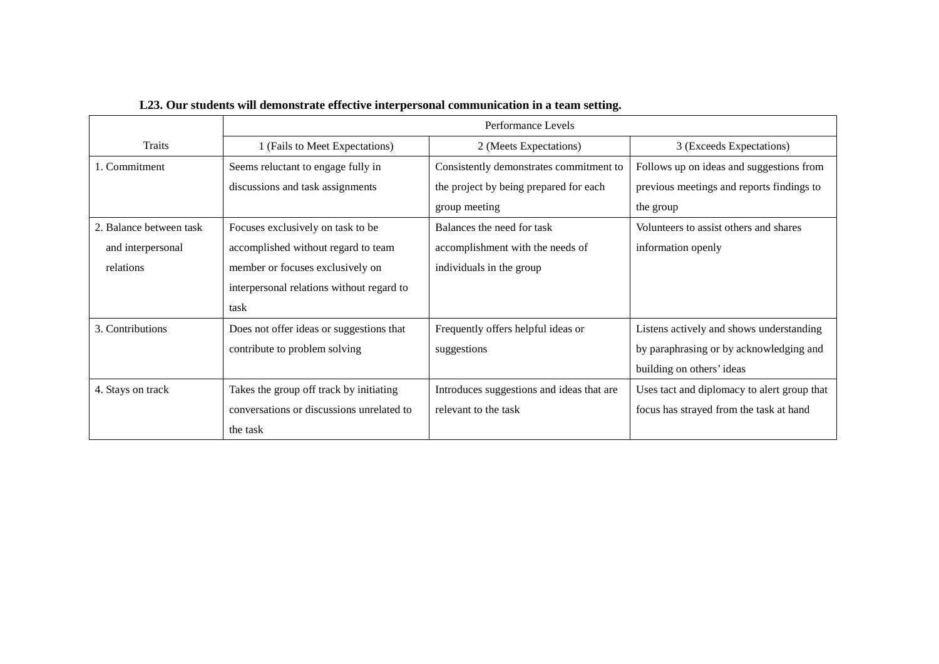|                         | Performance Levels                        |                                           |                                             |
|-------------------------|-------------------------------------------|-------------------------------------------|---------------------------------------------|
| Traits                  | 1 (Fails to Meet Expectations)            | 2 (Meets Expectations)                    | 3 (Exceeds Expectations)                    |
| 1. Commitment           | Seems reluctant to engage fully in        | Consistently demonstrates commitment to   | Follows up on ideas and suggestions from    |
|                         | discussions and task assignments          | the project by being prepared for each    | previous meetings and reports findings to   |
|                         |                                           | group meeting                             | the group                                   |
| 2. Balance between task | Focuses exclusively on task to be         | Balances the need for task                | Volunteers to assist others and shares      |
| and interpersonal       | accomplished without regard to team       | accomplishment with the needs of          | information openly                          |
| relations               | member or focuses exclusively on          | individuals in the group                  |                                             |
|                         | interpersonal relations without regard to |                                           |                                             |
|                         | task                                      |                                           |                                             |
| 3. Contributions        | Does not offer ideas or suggestions that  | Frequently offers helpful ideas or        | Listens actively and shows understanding    |
|                         | contribute to problem solving             | suggestions                               | by paraphrasing or by acknowledging and     |
|                         |                                           |                                           | building on others' ideas                   |
| 4. Stays on track       | Takes the group off track by initiating   | Introduces suggestions and ideas that are | Uses tact and diplomacy to alert group that |
|                         | conversations or discussions unrelated to | relevant to the task                      | focus has strayed from the task at hand     |
|                         | the task                                  |                                           |                                             |

# **L23. Our students will demonstrate effective interpersonal communication in a team setting.**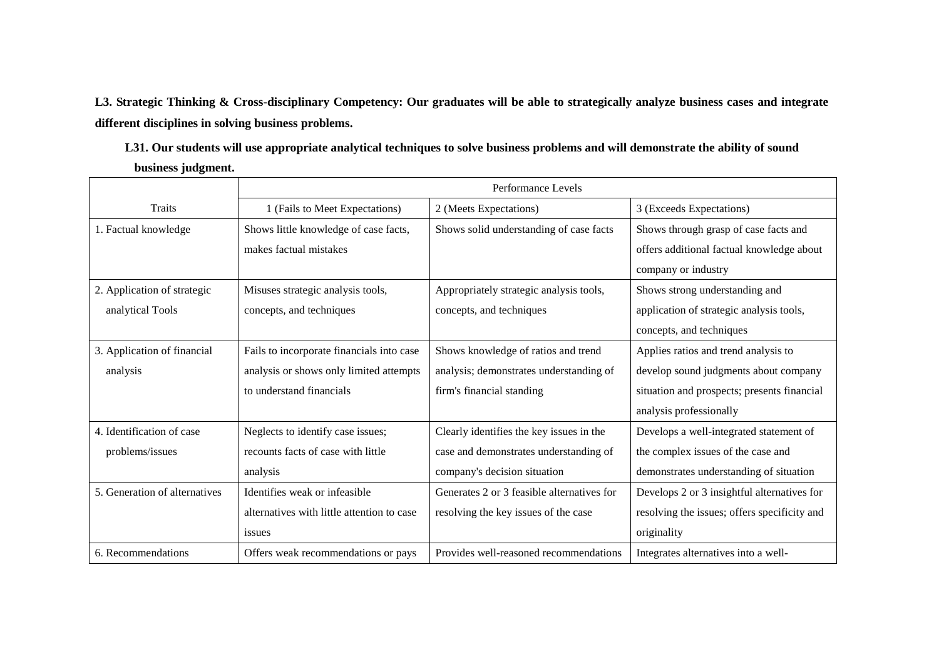**L3. Strategic Thinking & Cross-disciplinary Competency: Our graduates will be able to strategically analyze business cases and integrate different disciplines in solving business problems.** 

**L31. Our students will use appropriate analytical techniques to solve business problems and will demonstrate the ability of sound business judgment.**

|                               | Performance Levels                         |                                            |                                              |
|-------------------------------|--------------------------------------------|--------------------------------------------|----------------------------------------------|
| <b>Traits</b>                 | 1 (Fails to Meet Expectations)             | 2 (Meets Expectations)                     | 3 (Exceeds Expectations)                     |
| 1. Factual knowledge          | Shows little knowledge of case facts,      | Shows solid understanding of case facts    | Shows through grasp of case facts and        |
|                               | makes factual mistakes                     |                                            | offers additional factual knowledge about    |
|                               |                                            |                                            | company or industry                          |
| 2. Application of strategic   | Misuses strategic analysis tools,          | Appropriately strategic analysis tools,    | Shows strong understanding and               |
| analytical Tools              | concepts, and techniques                   | concepts, and techniques                   | application of strategic analysis tools,     |
|                               |                                            |                                            | concepts, and techniques                     |
| 3. Application of financial   | Fails to incorporate financials into case  | Shows knowledge of ratios and trend        | Applies ratios and trend analysis to         |
| analysis                      | analysis or shows only limited attempts    | analysis; demonstrates understanding of    | develop sound judgments about company        |
|                               | to understand financials                   | firm's financial standing                  | situation and prospects; presents financial  |
|                               |                                            |                                            | analysis professionally                      |
| 4. Identification of case     | Neglects to identify case issues;          | Clearly identifies the key issues in the   | Develops a well-integrated statement of      |
| problems/issues               | recounts facts of case with little         | case and demonstrates understanding of     | the complex issues of the case and           |
|                               | analysis                                   | company's decision situation               | demonstrates understanding of situation      |
| 5. Generation of alternatives | Identifies weak or infeasible.             | Generates 2 or 3 feasible alternatives for | Develops 2 or 3 insightful alternatives for  |
|                               | alternatives with little attention to case | resolving the key issues of the case       | resolving the issues; offers specificity and |
|                               | issues                                     |                                            | originality                                  |
| 6. Recommendations            | Offers weak recommendations or pays        | Provides well-reasoned recommendations     | Integrates alternatives into a well-         |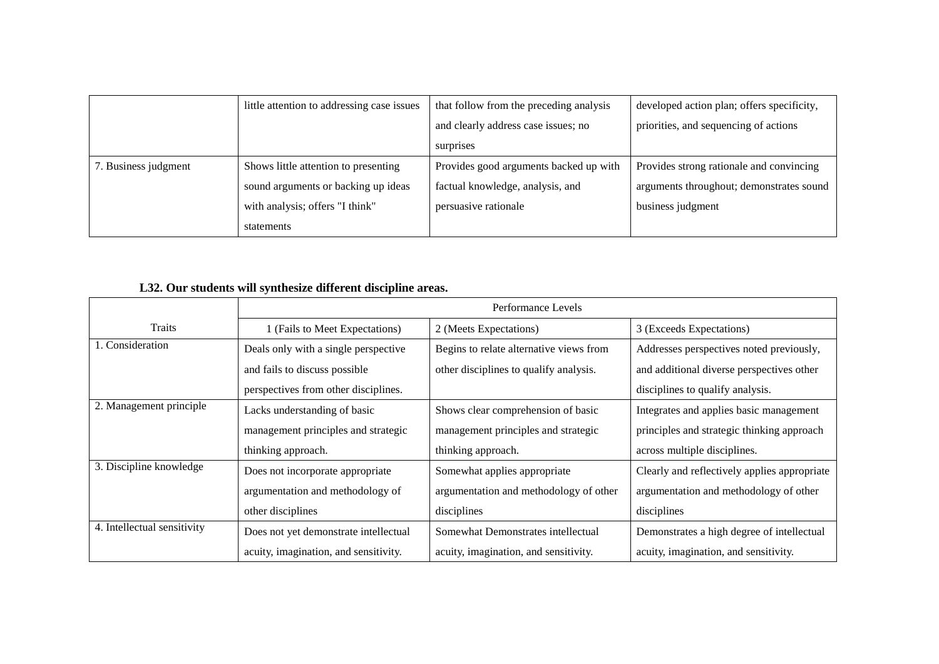|                      | little attention to addressing case issues | that follow from the preceding analysis | developed action plan; offers specificity, |
|----------------------|--------------------------------------------|-----------------------------------------|--------------------------------------------|
|                      |                                            | and clearly address case issues; no     | priorities, and sequencing of actions      |
|                      |                                            | surprises                               |                                            |
| 7. Business judgment | Shows little attention to presenting       | Provides good arguments backed up with  | Provides strong rationale and convincing   |
|                      | sound arguments or backing up ideas        | factual knowledge, analysis, and        | arguments throughout; demonstrates sound   |
|                      | with analysis; offers "I think"            | persuasive rationale                    | business judgment                          |
|                      | statements                                 |                                         |                                            |

# **L32. Our students will synthesize different discipline areas.**

|                             | Performance Levels                    |                                         |                                              |  |
|-----------------------------|---------------------------------------|-----------------------------------------|----------------------------------------------|--|
| Traits                      | 1 (Fails to Meet Expectations)        | 2 (Meets Expectations)                  | 3 (Exceeds Expectations)                     |  |
| 1. Consideration            | Deals only with a single perspective  | Begins to relate alternative views from | Addresses perspectives noted previously,     |  |
|                             | and fails to discuss possible         | other disciplines to qualify analysis.  | and additional diverse perspectives other    |  |
|                             | perspectives from other disciplines.  |                                         | disciplines to qualify analysis.             |  |
| 2. Management principle     | Lacks understanding of basic          | Shows clear comprehension of basic      | Integrates and applies basic management      |  |
|                             | management principles and strategic   | management principles and strategic     | principles and strategic thinking approach   |  |
|                             | thinking approach.                    | thinking approach.                      | across multiple disciplines.                 |  |
| 3. Discipline knowledge     | Does not incorporate appropriate      | Somewhat applies appropriate            | Clearly and reflectively applies appropriate |  |
|                             | argumentation and methodology of      | argumentation and methodology of other  | argumentation and methodology of other       |  |
|                             | other disciplines                     | disciplines                             | disciplines                                  |  |
| 4. Intellectual sensitivity | Does not yet demonstrate intellectual | Somewhat Demonstrates intellectual      | Demonstrates a high degree of intellectual   |  |
|                             | acuity, imagination, and sensitivity. | acuity, imagination, and sensitivity.   | acuity, imagination, and sensitivity.        |  |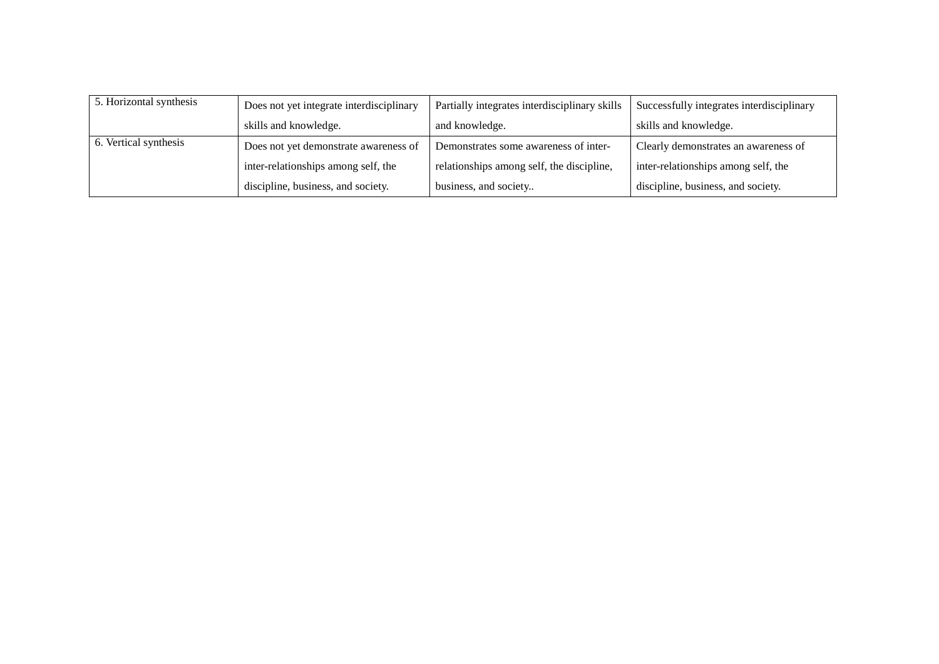| 5. Horizontal synthesis | Does not yet integrate interdisciplinary | Partially integrates interdisciplinary skills | Successfully integrates interdisciplinary |
|-------------------------|------------------------------------------|-----------------------------------------------|-------------------------------------------|
|                         | skills and knowledge.                    | and knowledge.                                | skills and knowledge.                     |
| 6. Vertical synthesis   | Does not yet demonstrate awareness of    | Demonstrates some awareness of inter-         | Clearly demonstrates an awareness of      |
|                         | inter-relationships among self, the      | relationships among self, the discipline,     | inter-relationships among self, the       |
|                         | discipline, business, and society.       | business, and society                         | discipline, business, and society.        |